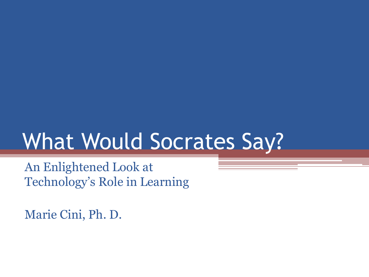## What Would Socrates Say?

An Enlightened Look at Technology's Role in Learning

Marie Cini, Ph. D.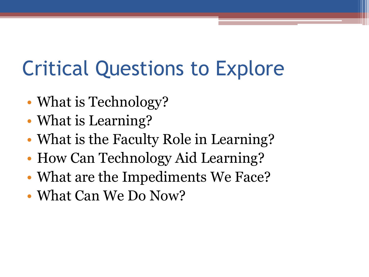### Critical Questions to Explore

- What is Technology?
- What is Learning?
- What is the Faculty Role in Learning?
- How Can Technology Aid Learning?
- What are the Impediments We Face?
- What Can We Do Now?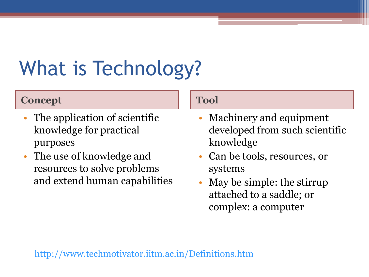# What is Technology?

#### **Concept Tool**

- The application of scientific knowledge for practical purposes
- The use of knowledge and resources to solve problems and extend human capabilities

- Machinery and equipment developed from such scientific knowledge
- Can be tools, resources, or systems
- May be simple: the stirrup attached to a saddle; or complex: a computer

<http://www.techmotivator.iitm.ac.in/Definitions.htm>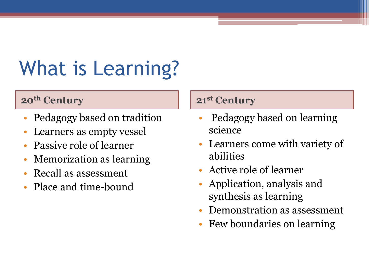# What is Learning?

#### **20<sup>th</sup> Century 21<sup>st</sup> Century**

- Pedagogy based on tradition
- Learners as empty vessel
- Passive role of learner
- Memorization as learning
- Recall as assessment
- Place and time-bound

- Pedagogy based on learning science
- Learners come with variety of abilities
- Active role of learner
- Application, analysis and synthesis as learning
- Demonstration as assessment
- Few boundaries on learning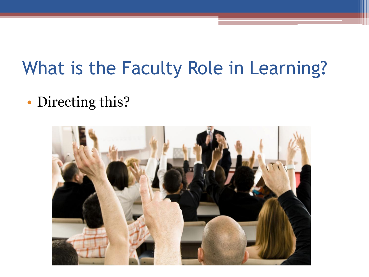#### What is the Faculty Role in Learning?

• Directing this?

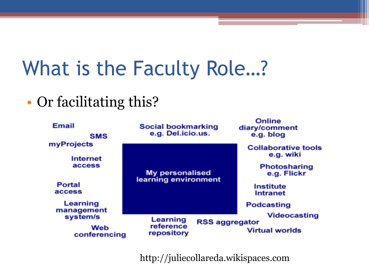## What is the Faculty Role…?

#### • Or facilitating this?

| <b>Email</b><br><b>SMS</b><br>myProjects<br><b>Internet</b><br>access | <b>Social bookmarking</b><br>e.g. Del.icio.us. | Online<br>diary/comment<br>e.g. blog                                          |
|-----------------------------------------------------------------------|------------------------------------------------|-------------------------------------------------------------------------------|
|                                                                       | <b>My personalised</b><br>learning environment | <b>Collaborative tools</b><br>e.g. wiki<br><b>Photosharing</b><br>e.g. Flickr |
| <b>Portal</b><br>access                                               |                                                | <b>Institute</b><br><b>Intranet</b>                                           |
| Learning<br>management                                                |                                                | <b>Podcasting</b>                                                             |
| system/s<br>Web<br>conferencing                                       | Learning<br>reference<br>repository            | <b>Videocasting</b><br><b>RSS aggregator</b><br><b>Virtual worlds</b>         |

http://juliecollareda.wikispaces.com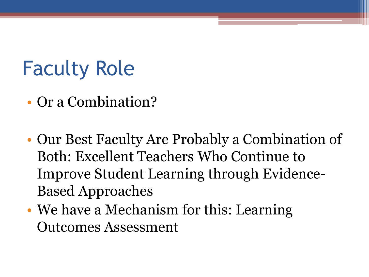## Faculty Role

- Or a Combination?
- Our Best Faculty Are Probably a Combination of Both: Excellent Teachers Who Continue to Improve Student Learning through Evidence-Based Approaches
- We have a Mechanism for this: Learning Outcomes Assessment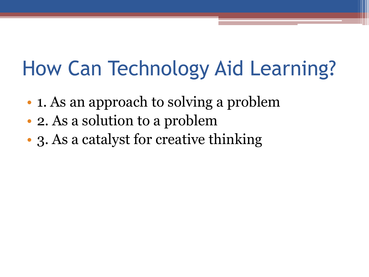#### How Can Technology Aid Learning?

- **1.** As an approach to solving a problem
- 2. As a solution to a problem
- 3. As a catalyst for creative thinking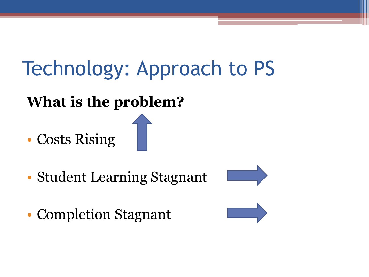## Technology: Approach to PS

#### **What is the problem?**

• Costs Rising

- Student Learning Stagnant
- Completion Stagnant



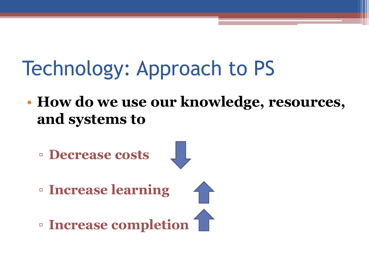### Technology: Approach to PS

• **How do we use our knowledge, resources, and systems to** 

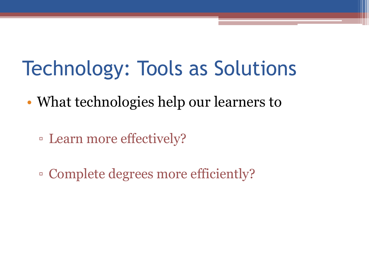#### Technology: Tools as Solutions

- What technologies help our learners to
	- Learn more effectively?
	- Complete degrees more efficiently?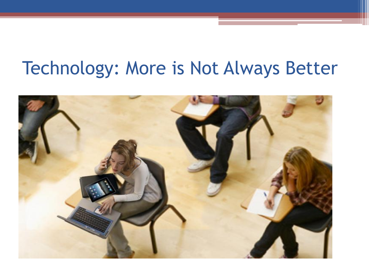#### Technology: More is Not Always Better

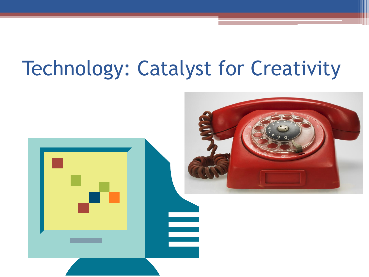#### Technology: Catalyst for Creativity

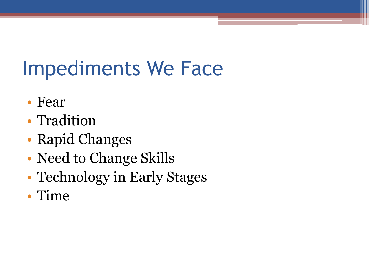### Impediments We Face

- Fear
- Tradition
- Rapid Changes
- Need to Change Skills
- Technology in Early Stages
- Time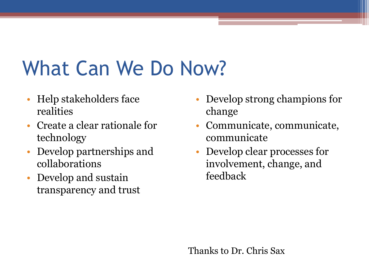#### What Can We Do Now?

- Help stakeholders face realities
- Create a clear rationale for technology
- Develop partnerships and collaborations
- Develop and sustain transparency and trust
- Develop strong champions for change
- Communicate, communicate, communicate
- Develop clear processes for involvement, change, and feedback

Thanks to Dr. Chris Sax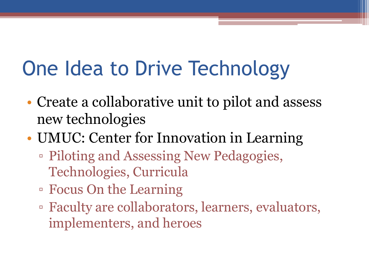# One Idea to Drive Technology

- Create a collaborative unit to pilot and assess new technologies
- UMUC: Center for Innovation in Learning
	- Piloting and Assessing New Pedagogies, Technologies, Curricula
	- Focus On the Learning
	- Faculty are collaborators, learners, evaluators, implementers, and heroes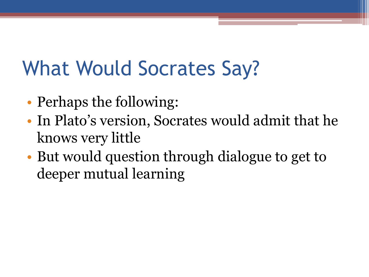## What Would Socrates Say?

- Perhaps the following:
- In Plato's version, Socrates would admit that he knows very little
- But would question through dialogue to get to deeper mutual learning